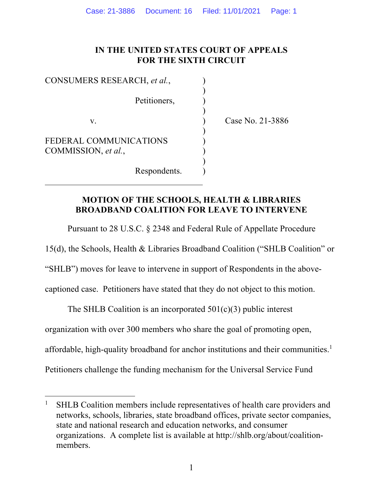### **IN THE UNITED STATES COURT OF APPEALS FOR THE SIXTH CIRCUIT**

)

)

)

)

CONSUMERS RESEARCH, *et al.*, Petitioners. v. ) Case No. 21-3886 FEDERAL COMMUNICATIONS COMMISSION, *et al.*,

Respondents. )

### **MOTION OF THE SCHOOLS, HEALTH & LIBRARIES BROADBAND COALITION FOR LEAVE TO INTERVENE**

Pursuant to 28 U.S.C. § 2348 and Federal Rule of Appellate Procedure

15(d), the Schools, Health & Libraries Broadband Coalition ("SHLB Coalition" or

"SHLB") moves for leave to intervene in support of Respondents in the above-

captioned case. Petitioners have stated that they do not object to this motion.

The SHLB Coalition is an incorporated  $501(c)(3)$  public interest

organization with over 300 members who share the goal of promoting open,

affordable, high-quality broadband for anchor institutions and their communities.<sup>1</sup>

Petitioners challenge the funding mechanism for the Universal Service Fund

<sup>1</sup> SHLB Coalition members include representatives of health care providers and networks, schools, libraries, state broadband offices, private sector companies, state and national research and education networks, and consumer organizations. A complete list is available at http://shlb.org/about/coalitionmembers.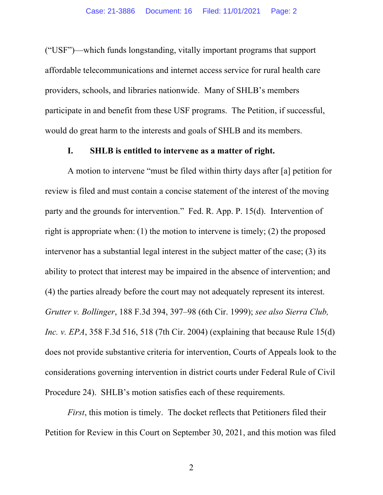("USF")—which funds longstanding, vitally important programs that support affordable telecommunications and internet access service for rural health care providers, schools, and libraries nationwide. Many of SHLB's members participate in and benefit from these USF programs. The Petition, if successful, would do great harm to the interests and goals of SHLB and its members.

#### **I. SHLB is entitled to intervene as a matter of right.**

A motion to intervene "must be filed within thirty days after [a] petition for review is filed and must contain a concise statement of the interest of the moving party and the grounds for intervention." Fed. R. App. P. 15(d). Intervention of right is appropriate when: (1) the motion to intervene is timely; (2) the proposed intervenor has a substantial legal interest in the subject matter of the case; (3) its ability to protect that interest may be impaired in the absence of intervention; and (4) the parties already before the court may not adequately represent its interest. *Grutter v. Bollinger*, 188 F.3d 394, 397–98 (6th Cir. 1999); *see also Sierra Club, Inc. v. EPA*, 358 F.3d 516, 518 (7th Cir. 2004) (explaining that because Rule 15(d) does not provide substantive criteria for intervention, Courts of Appeals look to the considerations governing intervention in district courts under Federal Rule of Civil Procedure 24). SHLB's motion satisfies each of these requirements.

*First*, this motion is timely. The docket reflects that Petitioners filed their Petition for Review in this Court on September 30, 2021, and this motion was filed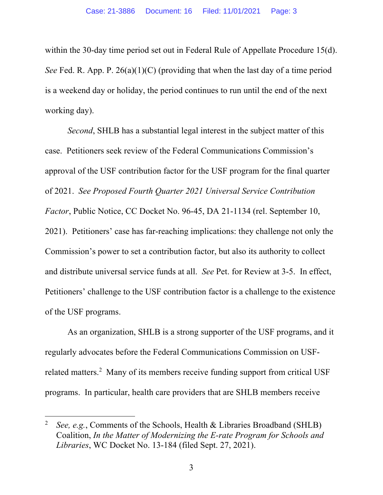within the 30-day time period set out in Federal Rule of Appellate Procedure 15(d). *See* Fed. R. App. P. 26(a)(1)(C) (providing that when the last day of a time period is a weekend day or holiday, the period continues to run until the end of the next working day).

*Second*, SHLB has a substantial legal interest in the subject matter of this case. Petitioners seek review of the Federal Communications Commission's approval of the USF contribution factor for the USF program for the final quarter of 2021. *See Proposed Fourth Quarter 2021 Universal Service Contribution Factor*, Public Notice, CC Docket No. 96-45, DA 21-1134 (rel. September 10, 2021). Petitioners' case has far-reaching implications: they challenge not only the Commission's power to set a contribution factor, but also its authority to collect and distribute universal service funds at all. *See* Pet. for Review at 3-5. In effect, Petitioners' challenge to the USF contribution factor is a challenge to the existence of the USF programs.

As an organization, SHLB is a strong supporter of the USF programs, and it regularly advocates before the Federal Communications Commission on USFrelated matters.<sup>2</sup> Many of its members receive funding support from critical USF programs. In particular, health care providers that are SHLB members receive

<sup>&</sup>lt;sup>2</sup> *See, e.g.*, Comments of the Schools, Health & Libraries Broadband (SHLB) Coalition, *In the Matter of Modernizing the E-rate Program for Schools and Libraries*, WC Docket No. 13-184 (filed Sept. 27, 2021).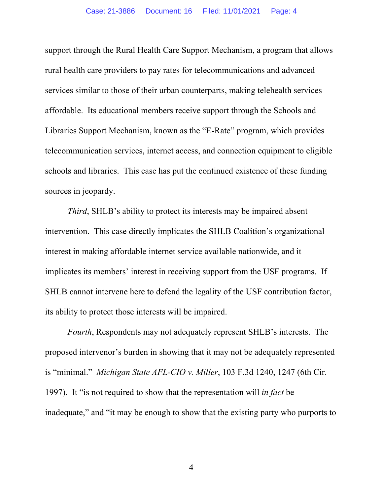support through the Rural Health Care Support Mechanism, a program that allows rural health care providers to pay rates for telecommunications and advanced services similar to those of their urban counterparts, making telehealth services affordable. Its educational members receive support through the Schools and Libraries Support Mechanism, known as the "E-Rate" program, which provides telecommunication services, internet access, and connection equipment to eligible schools and libraries. This case has put the continued existence of these funding sources in jeopardy.

*Third*, SHLB's ability to protect its interests may be impaired absent intervention. This case directly implicates the SHLB Coalition's organizational interest in making affordable internet service available nationwide, and it implicates its members' interest in receiving support from the USF programs. If SHLB cannot intervene here to defend the legality of the USF contribution factor, its ability to protect those interests will be impaired.

*Fourth*, Respondents may not adequately represent SHLB's interests. The proposed intervenor's burden in showing that it may not be adequately represented is "minimal." *Michigan State AFL-CIO v. Miller*, 103 F.3d 1240, 1247 (6th Cir. 1997). It "is not required to show that the representation will *in fact* be inadequate," and "it may be enough to show that the existing party who purports to

4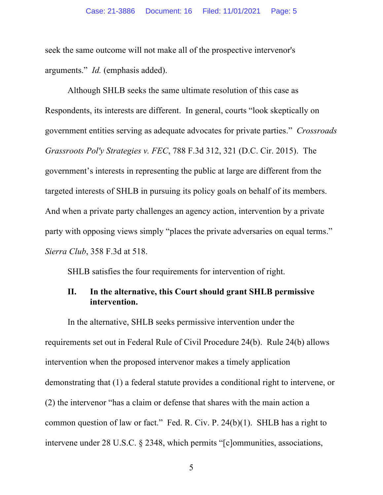seek the same outcome will not make all of the prospective intervenor's arguments." *Id.* (emphasis added).

Although SHLB seeks the same ultimate resolution of this case as Respondents, its interests are different. In general, courts "look skeptically on government entities serving as adequate advocates for private parties." *Crossroads Grassroots Pol'y Strategies v. FEC*, 788 F.3d 312, 321 (D.C. Cir. 2015). The government's interests in representing the public at large are different from the targeted interests of SHLB in pursuing its policy goals on behalf of its members. And when a private party challenges an agency action, intervention by a private party with opposing views simply "places the private adversaries on equal terms." *Sierra Club*, 358 F.3d at 518.

SHLB satisfies the four requirements for intervention of right.

### **II. In the alternative, this Court should grant SHLB permissive intervention.**

In the alternative, SHLB seeks permissive intervention under the requirements set out in Federal Rule of Civil Procedure 24(b). Rule 24(b) allows intervention when the proposed intervenor makes a timely application demonstrating that (1) a federal statute provides a conditional right to intervene, or (2) the intervenor "has a claim or defense that shares with the main action a common question of law or fact." Fed. R. Civ. P. 24(b)(1). SHLB has a right to intervene under 28 U.S.C. § 2348, which permits "[c]ommunities, associations,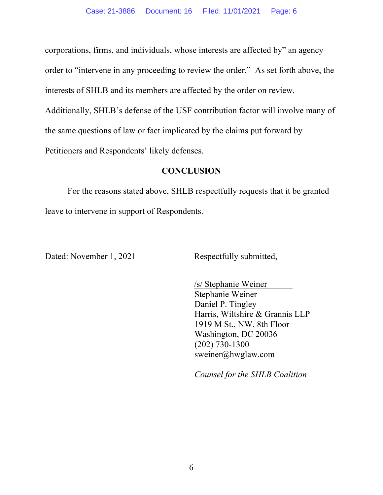corporations, firms, and individuals, whose interests are affected by" an agency order to "intervene in any proceeding to review the order." As set forth above, the interests of SHLB and its members are affected by the order on review. Additionally, SHLB's defense of the USF contribution factor will involve many of the same questions of law or fact implicated by the claims put forward by Petitioners and Respondents' likely defenses.

#### **CONCLUSION**

For the reasons stated above, SHLB respectfully requests that it be granted leave to intervene in support of Respondents.

Dated: November 1, 2021 Respectfully submitted,

/s/ Stephanie Weiner Stephanie Weiner Daniel P. Tingley Harris, Wiltshire & Grannis LLP 1919 M St., NW, 8th Floor Washington, DC 20036 (202) 730-1300 sweiner@hwglaw.com

*Counsel for the SHLB Coalition*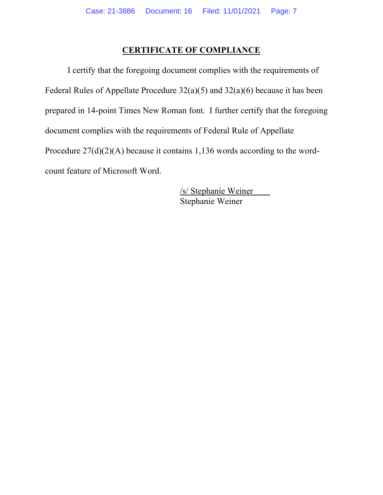## **CERTIFICATE OF COMPLIANCE**

I certify that the foregoing document complies with the requirements of Federal Rules of Appellate Procedure 32(a)(5) and 32(a)(6) because it has been prepared in 14-point Times New Roman font. I further certify that the foregoing document complies with the requirements of Federal Rule of Appellate Procedure 27(d)(2)(A) because it contains 1,136 words according to the wordcount feature of Microsoft Word.

> /s/ Stephanie Weiner Stephanie Weiner